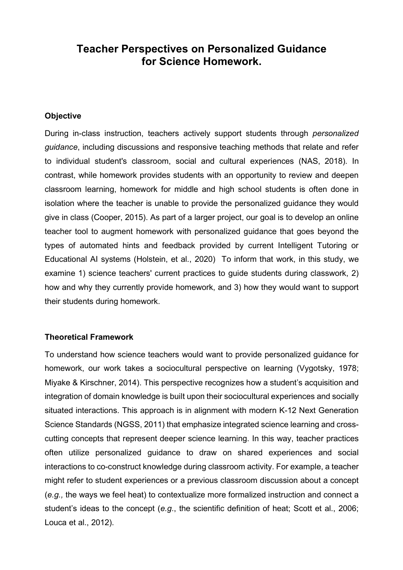# **Teacher Perspectives on Personalized Guidance for Science Homework.**

## **Objective**

During in-class instruction, teachers actively support students through *personalized guidance*, including discussions and responsive teaching methods that relate and refer to individual student's classroom, social and cultural experiences (NAS, 2018). In contrast, while homework provides students with an opportunity to review and deepen classroom learning, homework for middle and high school students is often done in isolation where the teacher is unable to provide the personalized guidance they would give in class (Cooper, 2015). As part of a larger project, our goal is to develop an online teacher tool to augment homework with personalized guidance that goes beyond the types of automated hints and feedback provided by current Intelligent Tutoring or Educational AI systems (Holstein, et al., 2020) To inform that work, in this study, we examine 1) science teachers' current practices to guide students during classwork, 2) how and why they currently provide homework, and 3) how they would want to support their students during homework.

# **Theoretical Framework**

To understand how science teachers would want to provide personalized guidance for homework, our work takes a sociocultural perspective on learning (Vygotsky, 1978; Miyake & Kirschner, 2014). This perspective recognizes how a student's acquisition and integration of domain knowledge is built upon their sociocultural experiences and socially situated interactions. This approach is in alignment with modern K-12 Next Generation Science Standards (NGSS, 2011) that emphasize integrated science learning and crosscutting concepts that represent deeper science learning. In this way, teacher practices often utilize personalized guidance to draw on shared experiences and social interactions to co-construct knowledge during classroom activity. For example, a teacher might refer to student experiences or a previous classroom discussion about a concept (*e.g.,* the ways we feel heat) to contextualize more formalized instruction and connect a student's ideas to the concept (*e.g*., the scientific definition of heat; Scott et al., 2006; Louca et al., 2012).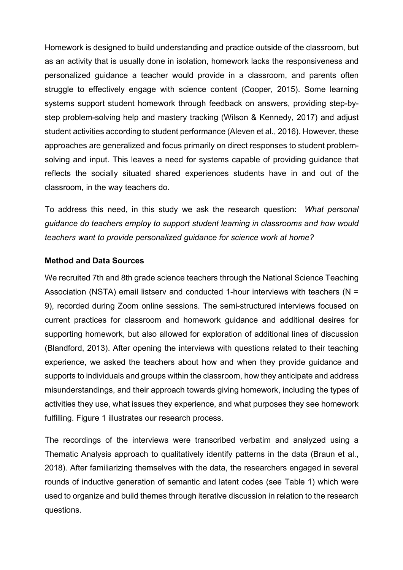Homework is designed to build understanding and practice outside of the classroom, but as an activity that is usually done in isolation, homework lacks the responsiveness and personalized guidance a teacher would provide in a classroom, and parents often struggle to effectively engage with science content (Cooper, 2015). Some learning systems support student homework through feedback on answers, providing step-bystep problem-solving help and mastery tracking (Wilson & Kennedy, 2017) and adjust student activities according to student performance (Aleven et al., 2016). However, these approaches are generalized and focus primarily on direct responses to student problemsolving and input. This leaves a need for systems capable of providing guidance that reflects the socially situated shared experiences students have in and out of the classroom, in the way teachers do.

To address this need, in this study we ask the research question: *What personal guidance do teachers employ to support student learning in classrooms and how would teachers want to provide personalized guidance for science work at home?*

# **Method and Data Sources**

We recruited 7th and 8th grade science teachers through the National Science Teaching Association (NSTA) email listserv and conducted 1-hour interviews with teachers (N = 9), recorded during Zoom online sessions. The semi-structured interviews focused on current practices for classroom and homework guidance and additional desires for supporting homework, but also allowed for exploration of additional lines of discussion (Blandford, 2013). After opening the interviews with questions related to their teaching experience, we asked the teachers about how and when they provide guidance and supports to individuals and groups within the classroom, how they anticipate and address misunderstandings, and their approach towards giving homework, including the types of activities they use, what issues they experience, and what purposes they see homework fulfilling. Figure 1 illustrates our research process.

The recordings of the interviews were transcribed verbatim and analyzed using a Thematic Analysis approach to qualitatively identify patterns in the data (Braun et al., 2018). After familiarizing themselves with the data, the researchers engaged in several rounds of inductive generation of semantic and latent codes (see Table 1) which were used to organize and build themes through iterative discussion in relation to the research questions.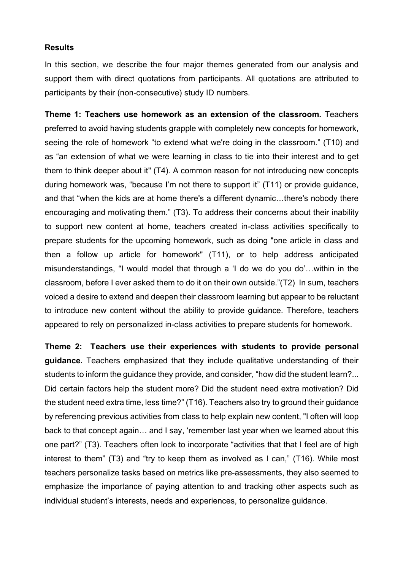# **Results**

In this section, we describe the four major themes generated from our analysis and support them with direct quotations from participants. All quotations are attributed to participants by their (non-consecutive) study ID numbers.

**Theme 1: Teachers use homework as an extension of the classroom.** Teachers preferred to avoid having students grapple with completely new concepts for homework, seeing the role of homework "to extend what we're doing in the classroom." (T10) and as "an extension of what we were learning in class to tie into their interest and to get them to think deeper about it" (T4). A common reason for not introducing new concepts during homework was, "because I'm not there to support it" (T11) or provide guidance, and that "when the kids are at home there's a different dynamic…there's nobody there encouraging and motivating them." (T3). To address their concerns about their inability to support new content at home, teachers created in-class activities specifically to prepare students for the upcoming homework, such as doing "one article in class and then a follow up article for homework" (T11), or to help address anticipated misunderstandings, "I would model that through a 'I do we do you do'…within in the classroom, before I ever asked them to do it on their own outside."(T2) In sum, teachers voiced a desire to extend and deepen their classroom learning but appear to be reluctant to introduce new content without the ability to provide guidance. Therefore, teachers appeared to rely on personalized in-class activities to prepare students for homework.

**Theme 2: Teachers use their experiences with students to provide personal guidance.** Teachers emphasized that they include qualitative understanding of their students to inform the guidance they provide, and consider, "how did the student learn?... Did certain factors help the student more? Did the student need extra motivation? Did the student need extra time, less time?" (T16). Teachers also try to ground their guidance by referencing previous activities from class to help explain new content, "I often will loop back to that concept again… and I say, 'remember last year when we learned about this one part?" (T3). Teachers often look to incorporate "activities that that I feel are of high interest to them" (T3) and "try to keep them as involved as I can," (T16). While most teachers personalize tasks based on metrics like pre-assessments, they also seemed to emphasize the importance of paying attention to and tracking other aspects such as individual student's interests, needs and experiences, to personalize guidance.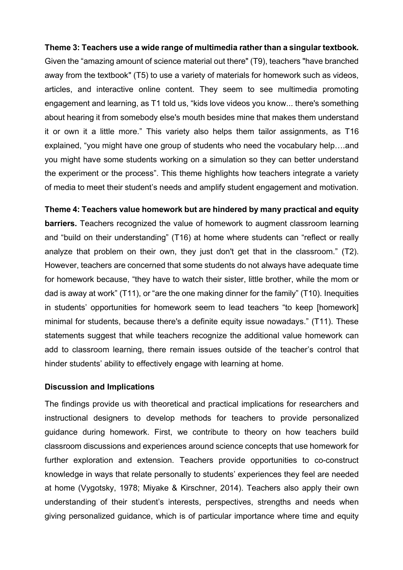#### **Theme 3: Teachers use a wide range of multimedia rather than a singular textbook.**

Given the "amazing amount of science material out there" (T9), teachers "have branched away from the textbook" (T5) to use a variety of materials for homework such as videos, articles, and interactive online content. They seem to see multimedia promoting engagement and learning, as T1 told us, "kids love videos you know... there's something about hearing it from somebody else's mouth besides mine that makes them understand it or own it a little more." This variety also helps them tailor assignments, as T16 explained, "you might have one group of students who need the vocabulary help….and you might have some students working on a simulation so they can better understand the experiment or the process". This theme highlights how teachers integrate a variety of media to meet their student's needs and amplify student engagement and motivation.

# **Theme 4: Teachers value homework but are hindered by many practical and equity barriers.** Teachers recognized the value of homework to augment classroom learning and "build on their understanding" (T16) at home where students can "reflect or really analyze that problem on their own, they just don't get that in the classroom." (T2). However, teachers are concerned that some students do not always have adequate time for homework because, "they have to watch their sister, little brother, while the mom or dad is away at work" (T11), or "are the one making dinner for the family" (T10). Inequities in students' opportunities for homework seem to lead teachers "to keep [homework] minimal for students, because there's a definite equity issue nowadays." (T11). These statements suggest that while teachers recognize the additional value homework can add to classroom learning, there remain issues outside of the teacher's control that hinder students' ability to effectively engage with learning at home.

#### **Discussion and Implications**

The findings provide us with theoretical and practical implications for researchers and instructional designers to develop methods for teachers to provide personalized guidance during homework. First, we contribute to theory on how teachers build classroom discussions and experiences around science concepts that use homework for further exploration and extension. Teachers provide opportunities to co-construct knowledge in ways that relate personally to students' experiences they feel are needed at home (Vygotsky, 1978; Miyake & Kirschner, 2014). Teachers also apply their own understanding of their student's interests, perspectives, strengths and needs when giving personalized guidance, which is of particular importance where time and equity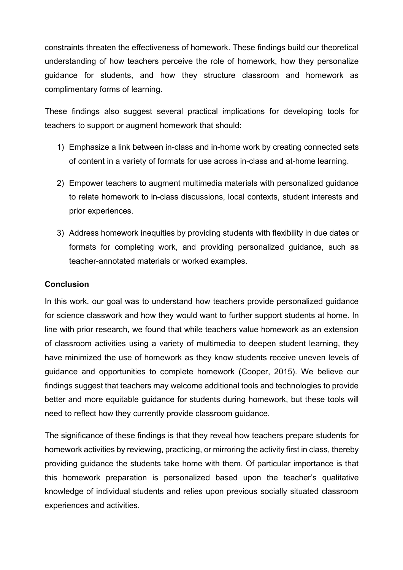constraints threaten the effectiveness of homework. These findings build our theoretical understanding of how teachers perceive the role of homework, how they personalize guidance for students, and how they structure classroom and homework as complimentary forms of learning.

These findings also suggest several practical implications for developing tools for teachers to support or augment homework that should:

- 1) Emphasize a link between in-class and in-home work by creating connected sets of content in a variety of formats for use across in-class and at-home learning.
- 2) Empower teachers to augment multimedia materials with personalized guidance to relate homework to in-class discussions, local contexts, student interests and prior experiences.
- 3) Address homework inequities by providing students with flexibility in due dates or formats for completing work, and providing personalized guidance, such as teacher-annotated materials or worked examples.

# **Conclusion**

In this work, our goal was to understand how teachers provide personalized guidance for science classwork and how they would want to further support students at home. In line with prior research, we found that while teachers value homework as an extension of classroom activities using a variety of multimedia to deepen student learning, they have minimized the use of homework as they know students receive uneven levels of guidance and opportunities to complete homework (Cooper, 2015). We believe our findings suggest that teachers may welcome additional tools and technologies to provide better and more equitable guidance for students during homework, but these tools will need to reflect how they currently provide classroom guidance.

The significance of these findings is that they reveal how teachers prepare students for homework activities by reviewing, practicing, or mirroring the activity first in class, thereby providing guidance the students take home with them. Of particular importance is that this homework preparation is personalized based upon the teacher's qualitative knowledge of individual students and relies upon previous socially situated classroom experiences and activities.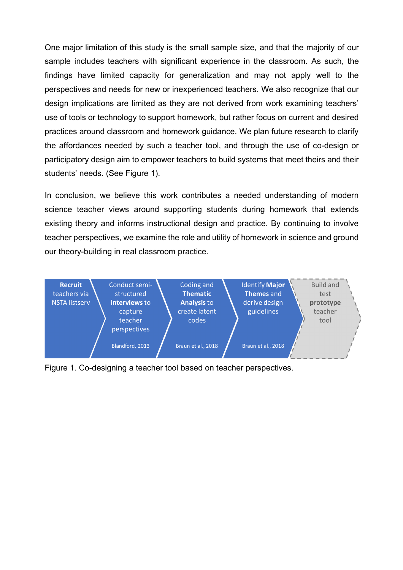One major limitation of this study is the small sample size, and that the majority of our sample includes teachers with significant experience in the classroom. As such, the findings have limited capacity for generalization and may not apply well to the perspectives and needs for new or inexperienced teachers. We also recognize that our design implications are limited as they are not derived from work examining teachers' use of tools or technology to support homework, but rather focus on current and desired practices around classroom and homework guidance. We plan future research to clarify the affordances needed by such a teacher tool, and through the use of co-design or participatory design aim to empower teachers to build systems that meet theirs and their students' needs. (See Figure 1).

In conclusion, we believe this work contributes a needed understanding of modern science teacher views around supporting students during homework that extends existing theory and informs instructional design and practice. By continuing to involve teacher perspectives, we examine the role and utility of homework in science and ground our theory-building in real classroom practice.



Figure 1. Co-designing a teacher tool based on teacher perspectives.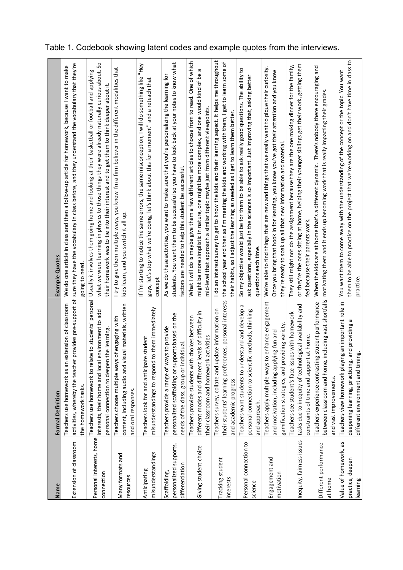| Name                                                      | <b>Formal Definition</b>                                                                                                                                | <b>Example Quotes</b>                                                                                                                                                                                                                                                                                              |
|-----------------------------------------------------------|---------------------------------------------------------------------------------------------------------------------------------------------------------|--------------------------------------------------------------------------------------------------------------------------------------------------------------------------------------------------------------------------------------------------------------------------------------------------------------------|
| Extension of classroom                                    | extension of classroom<br>Teachers use homework as an<br>the homework tasks.                                                                            | activities, whereby the teacher provides pre-support of sure they have the vocabulary in class before, and they understand the vocabulary that they're<br>We do one article in class and then a follow-up article for homework, because I want to make<br>going to need.                                           |
| Personal interests, home<br>connection                    | interests, their home and local environment to add<br>personal connection to deepen the learning.<br>Teachers use homework to rel                       | what we were learning in physics to those things they were already naturally curious about. So<br>ate to students' personal Usually it involves them going home and looking at their basketball or football and applying<br>their homework was to tie into their interest and to get them to think deeper about it |
| Many formats and<br>resources                             | content, including audio and visual materials, written<br>Teachers choose multiple ways of engaging with<br>and oral responses.                         | I try to give them multiple ways, you know I'm a firm believer in the different modalities that<br>kids learn, and you switch it all up                                                                                                                                                                            |
| misunderstandings<br>Anticipating                         | misunderstandings to respond to them immediately<br>Teachers look for and anticipate student                                                            | If I'm starting to notice the same errors, the same misconception, I will do something like "Hey<br>guys, let's stop what we're doing, let's think about this for a moment" and a reteach that<br>concept                                                                                                          |
| personalized supports,<br>differentiation<br>Scaffolding, | personalized scaffolding or supports based on the<br>Teachers provide a range of ways to provide<br>needs of the class, group or individual             | students. You want them to be successful so you have to look back at your notes to know what<br>As we do these activities, you want to make sure that you're personalizing the learning for<br>factors are needed to help this student be successful.                                                              |
| Giving student choice                                     | levels of difficulty in<br>Teachers provide students with choices between<br>their classroom and homework activities<br>different modes and different   | What I will do is maybe give them a few different articles to choose from to read. One of which<br>Б<br>might be more simplistic in nature, one might be more complex, and one would kind of be<br>mid-level that approach a similar topic maybe just from different viewpoints.                                   |
| Tracking student<br>interests                             | ences, personal interests<br>pdate information on<br>Teachers survey, collate and u<br>their students' learning prefer<br>and academic progress         | I do an interest survey to get to know the kids and their learning aspect. It helps me throughout<br>the school year and then as I'm meeting the kids and working with them, I get to learn some of<br>their habits, so I adjust the learning as needed as I get to learn them better                              |
| Personal connection to<br>science                         | Б<br>derstand and develop<br>personal connection to scientific methods, thinking<br>Teachers want students to un<br>and approach.                       | So my objective would just be for them to be able to ask really good questions. The ability to<br>ask questions, especially in the sciences is so important. Just improving that, asking better<br>questions each time.                                                                                            |
| Engagement and<br>motivation                              | Teachers apply multiple ways to enhance engagement<br>gamification strategies, and providing variety.<br>lying fun and<br>and motivation, including app | We're able to find things that are new and things that we really want to pique their curiosity.<br>Once you bring that hook in for learning, you know you've got their attention and you know<br>they're ready to soak up all that new information and material.                                                   |
| Inequity, fairness issues                                 | tasks due to inequity of technological availability and<br>Teachers see student's face issues with homework<br>constraints of time and support at home  | or they're the ones sitting at home, helping their younger siblings get their work, getting them<br>They still might not do the assignment because they are the one making dinner for the family,<br>fed because their parents work.                                                                               |
| Different performance<br>at home                          | between classroom and home, including vast shortfalls<br>ing student performance<br>Teachers experience contrasti<br>and vast improvements.             | When the kids are at home that's a different dynamic. There's nobody there encouraging and<br>motivating them and it ends up becoming work that is really impacting their grades                                                                                                                                   |
| Value of homework, as<br>practice, deeper<br>learning     | Teachers view homework playing an important role in<br>deepening learning, practicing, and providing<br>different environment and timing                | them to be able to practice on the project that we're working on and don't have time in class to<br>You want them to come away with the understanding of the concept or the topic. You want<br>practice                                                                                                            |

Table 1. Codebook showing latent codes and example quotes from the interviews.